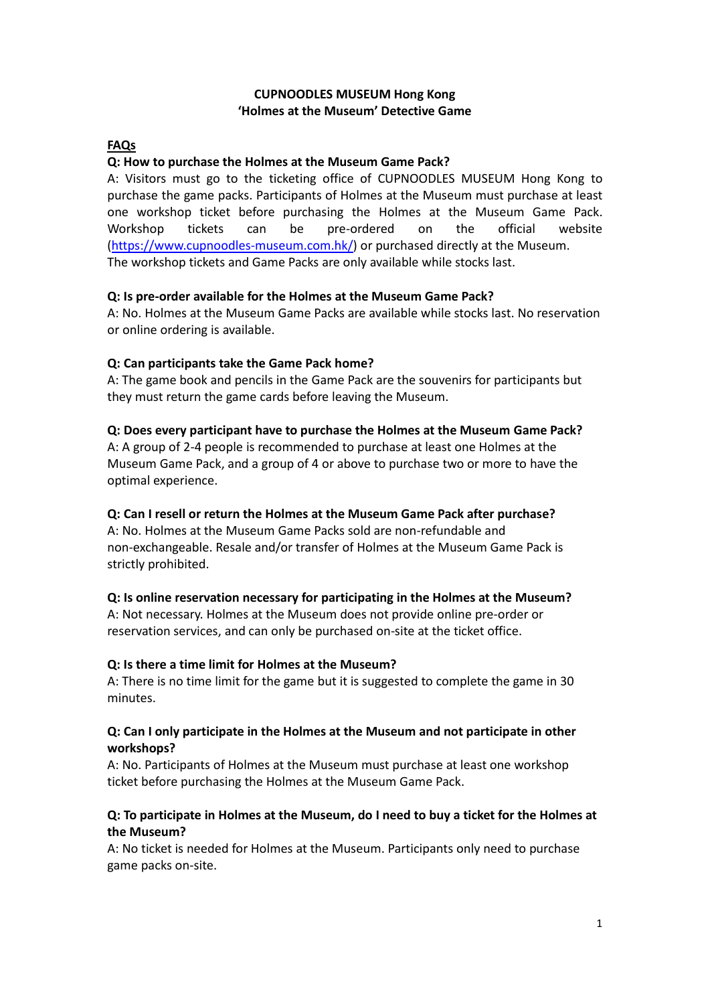# **CUPNOODLES MUSEUM Hong Kong 'Holmes at the Museum' Detective Game**

# **FAQs**

## **Q: How to purchase the Holmes at the Museum Game Pack?**

A: Visitors must go to the ticketing office of CUPNOODLES MUSEUM Hong Kong to purchase the game packs. Participants of Holmes at the Museum must purchase at least one workshop ticket before purchasing the Holmes at the Museum Game Pack. Workshop tickets can be pre-ordered on the official website [\(https://www.cupnoodles](https://www.cupnoodles-museum.com.hk/)-museum.com.hk/) or purchased directly at the Museum. The workshop tickets and Game Packs are only available while stocks last.

## **Q: Is pre-order available for the Holmes at the Museum Game Pack?**

A: No. Holmes at the Museum Game Packs are available while stocks last. No reservation or online ordering is available.

## **Q: Can participants take the Game Pack home?**

A: The game book and pencils in the Game Pack are the souvenirs for participants but they must return the game cards before leaving the Museum.

#### **Q: Does every participant have to purchase the Holmes at the Museum Game Pack?**

A: A group of 2-4 people is recommended to purchase at least one Holmes at the Museum Game Pack, and a group of 4 or above to purchase two or more to have the optimal experience.

#### **Q: Can I resell or return the Holmes at the Museum Game Pack after purchase?**

A: No. Holmes at the Museum Game Packs sold are non-refundable and non-exchangeable. Resale and/or transfer of Holmes at the Museum Game Pack is strictly prohibited.

#### **Q: Is online reservation necessary for participating in the Holmes at the Museum?**

A: Not necessary. Holmes at the Museum does not provide online pre-order or reservation services, and can only be purchased on-site at the ticket office.

#### **Q: Is there a time limit for Holmes at the Museum?**

A: There is no time limit for the game but it is suggested to complete the game in 30 minutes.

## **Q: Can I only participate in the Holmes at the Museum and not participate in other workshops?**

A: No. Participants of Holmes at the Museum must purchase at least one workshop ticket before purchasing the Holmes at the Museum Game Pack.

## **Q: To participate in Holmes at the Museum, do I need to buy a ticket for the Holmes at the Museum?**

A: No ticket is needed for Holmes at the Museum. Participants only need to purchase game packs on-site.